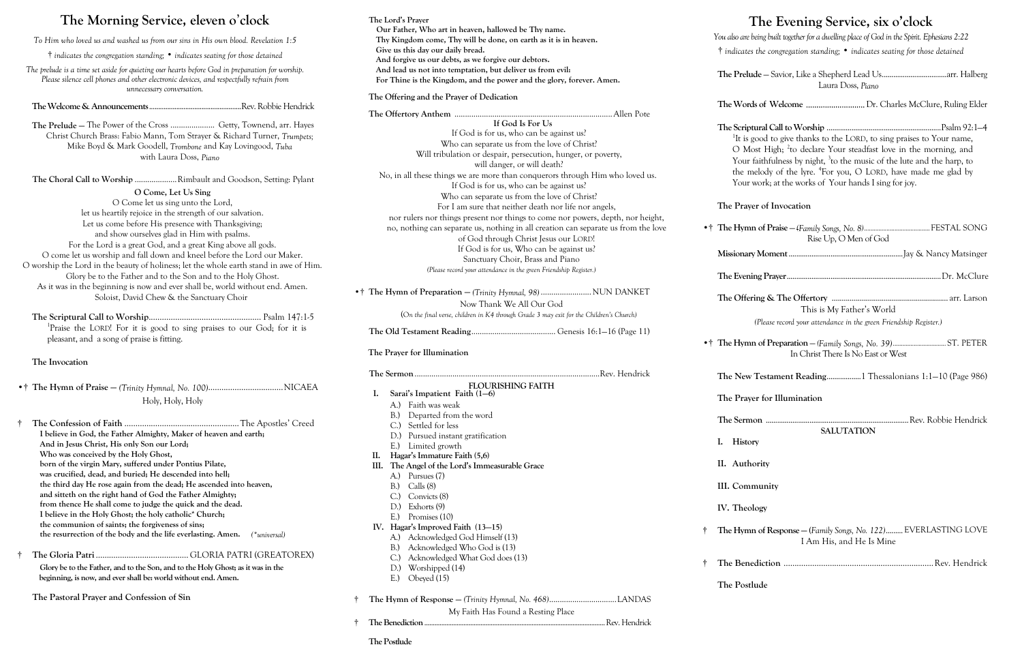## **The Morning Service, eleven o**'**clock**

*To Him who loved us and washed us from our sins in His own blood. Revelation 1:5*

† *indicates the congregation standing;* • *indicates seating for those detained*

*The prelude is a time set aside for quieting our hearts before God in preparation for worship. Please silence cell phones and other electronic devices, and respectfully refrain from unnecessary conversation.*

**The Welcome & Announcements**...................................................Rev. Robbie Hendrick

**The Prelude —** The Power of the Cross ..................... Getty, Townend, arr. Hayes Christ Church Brass: Fabio Mann, Tom Strayer & Richard Turner, *Trumpets;*  Mike Boyd & Mark Goodell, *Trombone* and Kay Lovingood, *Tuba*  with Laura Doss, *Piano*

**The Choral Call to Worship** ....................Rimbault and Goodson, Setting: Pylant **O Come, Let Us Sing** O Come let us sing unto the Lord, let us heartily rejoice in the strength of our salvation. Let us come before His presence with Thanksgiving; and show ourselves glad in Him with psalms. For the Lord is a great God, and a great King above all gods. O come let us worship and fall down and kneel before the Lord our Maker. O worship the Lord in the beauty of holiness; let the whole earth stand in awe of Him. Glory be to the Father and to the Son and to the Holy Ghost. As it was in the beginning is now and ever shall be, world without end. Amen. Soloist, David Chew & the Sanctuary Choir

**The Scriptural Call to Worship**................................................... Psalm 147:1-5 <sup>1</sup>Praise the LORD! For it is good to sing praises to our God; for it is pleasant, and a song of praise is fitting.

#### **The Invocation**

•† **The Hymn of Praise —** *(Trinity Hymnal, No. 100)*..................................NICAEA Holy, Holy, Holy

| I believe in God, the Father Almighty, Maker of heaven and earth;            |
|------------------------------------------------------------------------------|
| And in Jesus Christ, His only Son our Lord;                                  |
| Who was conceived by the Holy Ghost,                                         |
| born of the virgin Mary, suffered under Pontius Pilate,                      |
| was crucified, dead, and buried; He descended into hell;                     |
| the third day He rose again from the dead; He ascended into heaven,          |
| and sitteth on the right hand of God the Father Almighty;                    |
| from thence He shall come to judge the quick and the dead.                   |
| I believe in the Holy Ghost; the holy catholic* Church;                      |
| the communion of saints; the forgiveness of sins;                            |
| the resurrection of the body and the life everlasting. Amen.<br>(*universal) |
|                                                                              |

† **The Gloria Patri** .......................................... GLORIA PATRI (GREATOREX)

**Glory be to the Father, and to the Son, and to the Holy Ghost; as it was in the beginning, is now, and ever shall be: world without end. Amen.**

**The Pastoral Prayer and Confession of Sin**

**The Offering and the Prayer of Dedication**

#### **The Lord's Prayer Our Father, Who art in heaven, hallowed be Thy name. Thy Kingdom come, Thy will be done, on earth as it is in heaven. Give us this day our daily bread. And forgive us our debts, as we forgive our debtors. And lead us not into temptation, but deliver us from evil: For Thine is the Kingdom, and the power and the glory, forever. Amen. The Evening Service, six o'clock** *You also are being built together for a dwelling place of God in the Spirit. Ephesians 2:22* † *indicates the congregation standing;* • *indicates seating for those detained* The Prelu Laura Doss, *Piano*

|                                                                     | If God Is For Us                                                                        |                                                                                   |                                                                                    |  |
|---------------------------------------------------------------------|-----------------------------------------------------------------------------------------|-----------------------------------------------------------------------------------|------------------------------------------------------------------------------------|--|
|                                                                     | If God is for us, who can be against us?                                                | <sup>1</sup> It is good to give thanks to the LORD, to sing praises to Your name, |                                                                                    |  |
|                                                                     | Who can separate us from the love of Christ?                                            |                                                                                   | O Most High; <sup>2</sup> to declare Your steadfast love in the morning, and       |  |
|                                                                     | Will tribulation or despair, persecution, hunger, or poverty,                           |                                                                                   | Your faithfulness by night, <sup>3</sup> to the music of the lute and the harp, to |  |
|                                                                     | will danger, or will death?                                                             |                                                                                   | the melody of the lyre. <sup>4</sup> For you, O LORD, have made me glad by         |  |
|                                                                     | No, in all these things we are more than conquerors through Him who loved us.           | Your work; at the works of Your hands I sing for joy.                             |                                                                                    |  |
|                                                                     | If God is for us, who can be against us?                                                |                                                                                   |                                                                                    |  |
|                                                                     | Who can separate us from the love of Christ?                                            |                                                                                   |                                                                                    |  |
|                                                                     | For I am sure that neither death nor life nor angels,                                   | The Prayer of Invocation                                                          |                                                                                    |  |
|                                                                     | nor rulers nor things present nor things to come nor powers, depth, nor height,         |                                                                                   |                                                                                    |  |
|                                                                     | no, nothing can separate us, nothing in all creation can separate us from the love      |                                                                                   |                                                                                    |  |
|                                                                     | of God through Christ Jesus our LORD!                                                   | Rise Up, O Men of God                                                             |                                                                                    |  |
|                                                                     | If God is for us, Who can be against us?                                                |                                                                                   |                                                                                    |  |
|                                                                     | Sanctuary Choir, Brass and Piano                                                        |                                                                                   |                                                                                    |  |
| (Please record your attendance in the green Friendship Register.)   |                                                                                         |                                                                                   |                                                                                    |  |
| •† The Hymn of Preparation - (Trinity Hymnal, 98)  NUN DANKET       |                                                                                         |                                                                                   |                                                                                    |  |
| Now Thank We All Our God                                            |                                                                                         |                                                                                   |                                                                                    |  |
|                                                                     | (On the final verse, children in K4 through Grade 3 may exit for the Children's Church) | This is My Father's World                                                         |                                                                                    |  |
|                                                                     |                                                                                         | (Please record your attendance in the green Friendship Register.)                 |                                                                                    |  |
|                                                                     |                                                                                         |                                                                                   |                                                                                    |  |
| The Prayer for Illumination                                         |                                                                                         | In Christ There Is No East or West                                                |                                                                                    |  |
|                                                                     |                                                                                         |                                                                                   | The New Testament Reading 1 Thessalonians 1:1-10 (Page 986)                        |  |
| <b>FLOURISHING FAITH</b>                                            |                                                                                         |                                                                                   |                                                                                    |  |
| Sarai's Impatient Faith (1-6)<br>I.                                 |                                                                                         | The Prayer for Illumination                                                       |                                                                                    |  |
| A.) Faith was weak                                                  |                                                                                         |                                                                                   |                                                                                    |  |
| Departed from the word<br>$B.$ )                                    |                                                                                         |                                                                                   |                                                                                    |  |
| Settled for less                                                    |                                                                                         | <b>SALUTATION</b>                                                                 |                                                                                    |  |
| Pursued instant gratification<br>D.                                 |                                                                                         | History<br>I.                                                                     |                                                                                    |  |
| Limited growth<br>$E$ .)                                            |                                                                                         |                                                                                   |                                                                                    |  |
| Hagar's Immature Faith (5,6)<br>Π.                                  |                                                                                         | II. Authority                                                                     |                                                                                    |  |
| The Angel of the Lord's Immeasurable Grace<br>Ш.<br>A.) Pursues (7) |                                                                                         |                                                                                   |                                                                                    |  |
| Calls (8)<br>B.)                                                    |                                                                                         | III. Community                                                                    |                                                                                    |  |
| Convicts (8)<br>C <sub>1</sub>                                      |                                                                                         |                                                                                   |                                                                                    |  |
| Exhorts (9)<br>D.                                                   |                                                                                         | IV. Theology                                                                      |                                                                                    |  |
| Promises (10)<br>$E$ .)                                             |                                                                                         |                                                                                   |                                                                                    |  |
| IV. Hagar's Improved Faith (13-15)                                  |                                                                                         |                                                                                   |                                                                                    |  |
| Acknowledged God Himself (13)<br>A.)                                |                                                                                         | I Am His, and He Is Mine                                                          | The Hymn of Response - (Family Songs, No. 122) EVERLASTING LOVE                    |  |
| Acknowledged Who God is (13)<br>B.)                                 |                                                                                         |                                                                                   |                                                                                    |  |
| Acknowledged What God does (13)<br>$C$ .)                           |                                                                                         |                                                                                   |                                                                                    |  |
| Worshipped (14)<br>D.                                               |                                                                                         |                                                                                   |                                                                                    |  |
| E.)<br>Obeyed (15)                                                  |                                                                                         |                                                                                   |                                                                                    |  |
|                                                                     |                                                                                         | The Postlude                                                                      |                                                                                    |  |
|                                                                     |                                                                                         |                                                                                   |                                                                                    |  |
| My Faith Has Found a Resting Place                                  |                                                                                         |                                                                                   |                                                                                    |  |
|                                                                     |                                                                                         |                                                                                   |                                                                                    |  |

**The Postlude** 

| Laura Doss, Piano |  |
|-------------------|--|

**The Words of Welcome** Dr. Charles McClure, Ruling Elder